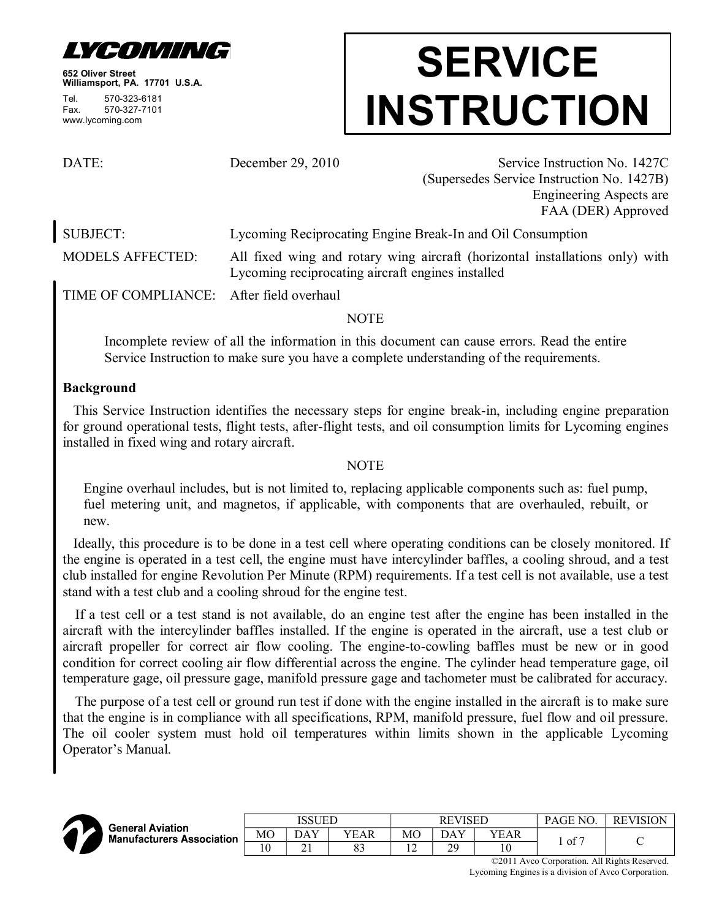

**652 Oliver Street Williamsport, PA. 17701 U.S.A.** Tel. 570-323-6181 Fax. 570-327-7101 www.lycoming.com

# **SERVICE INSTRUCTION**

DATE: December 29, 2010 Service Instruction No. 1427C (Supersedes Service Instruction No. 1427B) Engineering Aspects are FAA (DER) Approved

SUBJECT: Lycoming Reciprocating Engine Break-In and Oil Consumption

MODELS AFFECTED: All fixed wing and rotary wing aircraft (horizontal installations only) with Lycoming reciprocating aircraft engines installed

TIME OF COMPLIANCE: After field overhaul

# NOTE

Incomplete review of all the information in this document can cause errors. Read the entire Service Instruction to make sure you have a complete understanding of the requirements.

# **Background**

This Service Instruction identifies the necessary steps for engine break-in, including engine preparation for ground operational tests, flight tests, after-flight tests, and oil consumption limits for Lycoming engines installed in fixed wing and rotary aircraft.

# **NOTE**

Engine overhaul includes, but is not limited to, replacing applicable components such as: fuel pump, fuel metering unit, and magnetos, if applicable, with components that are overhauled, rebuilt, or new.

Ideally, this procedure is to be done in a test cell where operating conditions can be closely monitored. If the engine is operated in a test cell, the engine must have intercylinder baffles, a cooling shroud, and a test club installed for engine Revolution Per Minute (RPM) requirements. If a test cell is not available, use a test stand with a test club and a cooling shroud for the engine test.

If a test cell or a test stand is not available, do an engine test after the engine has been installed in the aircraft with the intercylinder baffles installed. If the engine is operated in the aircraft, use a test club or aircraft propeller for correct air flow cooling. The engine-to-cowling baffles must be new or in good condition for correct cooling air flow differential across the engine. The cylinder head temperature gage, oil temperature gage, oil pressure gage, manifold pressure gage and tachometer must be calibrated for accuracy.

The purpose of a test cell or ground run test if done with the engine installed in the aircraft is to make sure that the engine is in compliance with all specifications, RPM, manifold pressure, fuel flow and oil pressure. The oil cooler system must hold oil temperatures within limits shown in the applicable Lycoming Operator's Manual.



|                                                      | ISSUED |            |          | <b>REVISED</b> |     |      | PAGE NO.   | <b>REVISION</b> |
|------------------------------------------------------|--------|------------|----------|----------------|-----|------|------------|-----------------|
| <b>General Aviation</b><br>Manufacturers Association | MО     | DAY        | VEAR     | MО             | DAY | YEAR | $\sim$ $-$ |                 |
|                                                      | 10     | <u> 41</u> | റി<br>ບບ | . .            | 29  |      | 0t         | ั               |

©2011 Avco Corporation. All Rights Reserved. Lycoming Engines is a division of Avco Corporation.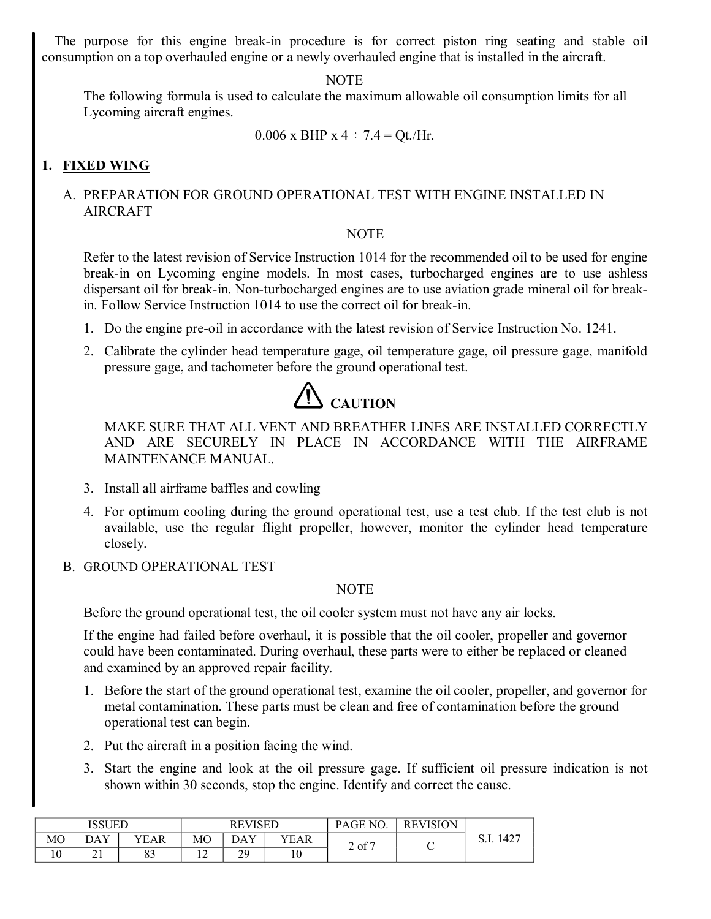The purpose for this engine break-in procedure is for correct piston ring seating and stable oil consumption on a top overhauled engine or a newly overhauled engine that is installed in the aircraft.

#### NOTE

The following formula is used to calculate the maximum allowable oil consumption limits for all Lycoming aircraft engines.

```
0.006 x BHP x 4 \div 7.4 = Qt./Hr.
```
# **1. FIXED WING**

# A. PREPARATION FOR GROUND OPERATIONAL TEST WITH ENGINE INSTALLED IN AIRCRAFT

# NOTE

Refer to the latest revision of Service Instruction 1014 for the recommended oil to be used for engine break-in on Lycoming engine models. In most cases, turbocharged engines are to use ashless dispersant oil for break-in. Non-turbocharged engines are to use aviation grade mineral oil for breakin. Follow Service Instruction 1014 to use the correct oil for break-in.

- 1. Do the engine pre-oil in accordance with the latest revision of Service Instruction No. 1241.
- 2. Calibrate the cylinder head temperature gage, oil temperature gage, oil pressure gage, manifold pressure gage, and tachometer before the ground operational test.



MAKE SURE THAT ALL VENT AND BREATHER LINES ARE INSTALLED CORRECTLY AND ARE SECURELY IN PLACE IN ACCORDANCE WITH THE AIRFRAME MAINTENANCE MANUAL.

- 3. Install all airframe baffles and cowling
- 4. For optimum cooling during the ground operational test, use a test club. If the test club is not available, use the regular flight propeller, however, monitor the cylinder head temperature closely.
- B. GROUND OPERATIONAL TEST

#### NOTE

Before the ground operational test, the oil cooler system must not have any air locks.

If the engine had failed before overhaul, it is possible that the oil cooler, propeller and governor could have been contaminated. During overhaul, these parts were to either be replaced or cleaned and examined by an approved repair facility.

- 1. Before the start of the ground operational test, examine the oil cooler, propeller, and governor for metal contamination. These parts must be clean and free of contamination before the ground operational test can begin.
- 2. Put the aircraft in a position facing the wind.
- 3. Start the engine and look at the oil pressure gage. If sufficient oil pressure indication is not shown within 30 seconds, stop the engine. Identify and correct the cause.

| <b>ISSUED</b> |            |          |    | <b>REVISED</b> |      | PAGE NO. | <b>REVISION</b> |              |
|---------------|------------|----------|----|----------------|------|----------|-----------------|--------------|
| МO            | DAY        | YEAR     | МO | DAY            | YEAR | 2 of 7   |                 | 427ء<br>0.1. |
| ιv            | <u> 41</u> | റി<br>83 | ∸  | 20<br>ر ب      | 10   |          |                 |              |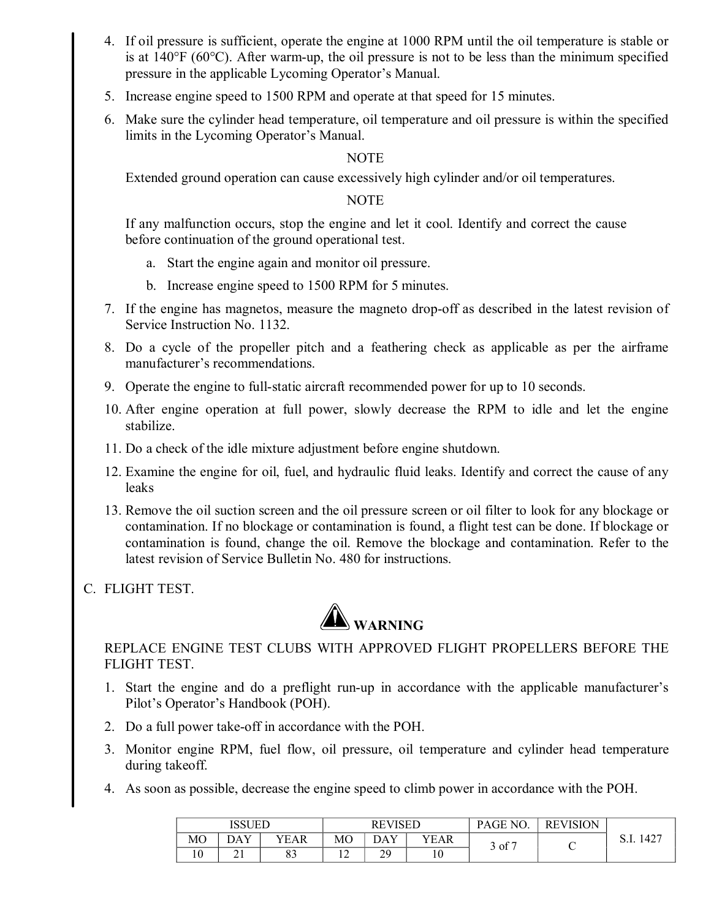- 4. If oil pressure is sufficient, operate the engine at 1000 RPM until the oil temperature is stable or is at  $140^{\circ}F (60^{\circ}C)$ . After warm-up, the oil pressure is not to be less than the minimum specified pressure in the applicable Lycoming Operator's Manual.
- 5. Increase engine speed to 1500 RPM and operate at that speed for 15 minutes.
- 6. Make sure the cylinder head temperature, oil temperature and oil pressure is within the specified limits in the Lycoming Operator's Manual.

## NOTE

Extended ground operation can cause excessively high cylinder and/or oil temperatures.

## **NOTE**

If any malfunction occurs, stop the engine and let it cool. Identify and correct the cause before continuation of the ground operational test.

- a. Start the engine again and monitor oil pressure.
- b. Increase engine speed to 1500 RPM for 5 minutes.
- 7. If the engine has magnetos, measure the magneto dropoff as described in the latest revision of Service Instruction No. 1132.
- 8. Do a cycle of the propeller pitch and a feathering check as applicable as per the airframe manufacturer's recommendations.
- 9. Operate the engine to full-static aircraft recommended power for up to 10 seconds.
- 10. After engine operation at full power, slowly decrease the RPM to idle and let the engine stabilize.
- 11. Do a check of the idle mixture adjustment before engine shutdown.
- 12. Examine the engine for oil, fuel, and hydraulic fluid leaks. Identify and correct the cause of any leaks
- 13. Remove the oil suction screen and the oil pressure screen or oil filter to look for any blockage or contamination. If no blockage or contamination is found, a flight test can be done. If blockage or contamination is found, change the oil. Remove the blockage and contamination. Refer to the latest revision of Service Bulletin No. 480 for instructions.
- C. FLIGHT TEST.



REPLACE ENGINE TEST CLUBS WITH APPROVED FLIGHT PROPELLERS BEFORE THE FLIGHT TEST.

- 1. Start the engine and do a preflight run-up in accordance with the applicable manufacturer's Pilot's Operator's Handbook (POH).
- 2. Do a full power take-off in accordance with the POH.
- 3. Monitor engine RPM, fuel flow, oil pressure, oil temperature and cylinder head temperature during takeoff.
- 4. As soon as possible, decrease the engine speed to climb power in accordance with the POH.

|    | <b>ISSUED</b> |          |    | <b>REVISED</b> |      | PAGE NO.  | <b>REVISION</b> |              |
|----|---------------|----------|----|----------------|------|-----------|-----------------|--------------|
| МO | DAY           | YEAR     | МO | DAY            | YEAR | , of $^7$ |                 | 1427<br>D.I. |
| 10 | $\sim$ 1      | o٥<br>ບບ | ∸  | 29             | ΙU   |           |                 |              |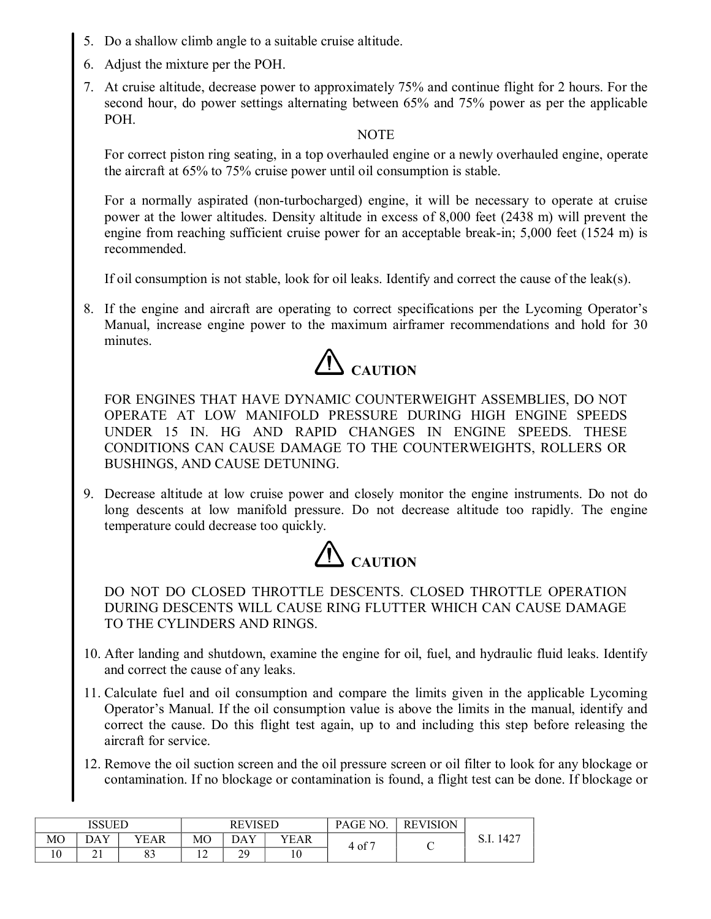- 5. Do a shallow climb angle to a suitable cruise altitude.
- 6. Adjust the mixture per the POH.
- 7. At cruise altitude, decrease power to approximately 75% and continue flight for 2 hours. For the second hour, do power settings alternating between 65% and 75% power as per the applicable POH.

#### **NOTE**

For correct piston ring seating, in a top overhauled engine or a newly overhauled engine, operate the aircraft at 65% to 75% cruise power until oil consumption is stable.

For a normally aspirated (non-turbocharged) engine, it will be necessary to operate at cruise power at the lower altitudes. Density altitude in excess of 8,000 feet (2438 m) will prevent the engine from reaching sufficient cruise power for an acceptable break-in;  $5,000$  feet (1524 m) is recommended.

If oil consumption is not stable, look for oil leaks. Identify and correct the cause of the leak(s).

8. If the engine and aircraft are operating to correct specifications per the Lycoming Operator's Manual, increase engine power to the maximum airframer recommendations and hold for 30 minutes.



FOR ENGINES THAT HAVE DYNAMIC COUNTERWEIGHT ASSEMBLIES, DO NOT OPERATE AT LOW MANIFOLD PRESSURE DURING HIGH ENGINE SPEEDS UNDER 15 IN. HG AND RAPID CHANGES IN ENGINE SPEEDS. THESE CONDITIONS CAN CAUSE DAMAGE TO THE COUNTERWEIGHTS, ROLLERS OR BUSHINGS, AND CAUSE DETUNING.

9. Decrease altitude at low cruise power and closely monitor the engine instruments. Do not do long descents at low manifold pressure. Do not decrease altitude too rapidly. The engine temperature could decrease too quickly.



DO NOT DO CLOSED THROTTLE DESCENTS. CLOSED THROTTLE OPERATION DURING DESCENTS WILL CAUSE RING FLUTTER WHICH CAN CAUSE DAMAGE TO THE CYLINDERS AND RINGS.

- 10. After landing and shutdown, examine the engine for oil, fuel, and hydraulic fluid leaks. Identify and correct the cause of any leaks.
- 11. Calculate fuel and oil consumption and compare the limits given in the applicable Lycoming Operator's Manual. If the oil consumption value is above the limits in the manual, identify and correct the cause. Do this flight test again, up to and including this step before releasing the aircraft for service.
- 12. Remove the oil suction screen and the oil pressure screen or oil filter to look for any blockage or contamination. If no blockage or contamination is found, a flight test can be done. If blockage or

|     | <b>ISSUED</b> |                |     | <b>REVISED</b>  |      | PAGE NO.          | <b>REVISION</b> |      |
|-----|---------------|----------------|-----|-----------------|------|-------------------|-----------------|------|
| МO  | DAY           | YEAR           | MО  | DAY             | YEAR | $4 \text{ of } 7$ |                 | 1427 |
| 1 V | ∠⊥            | $\Omega$<br>oυ | . . | $\gamma$<br>ر ب | 10   |                   |                 |      |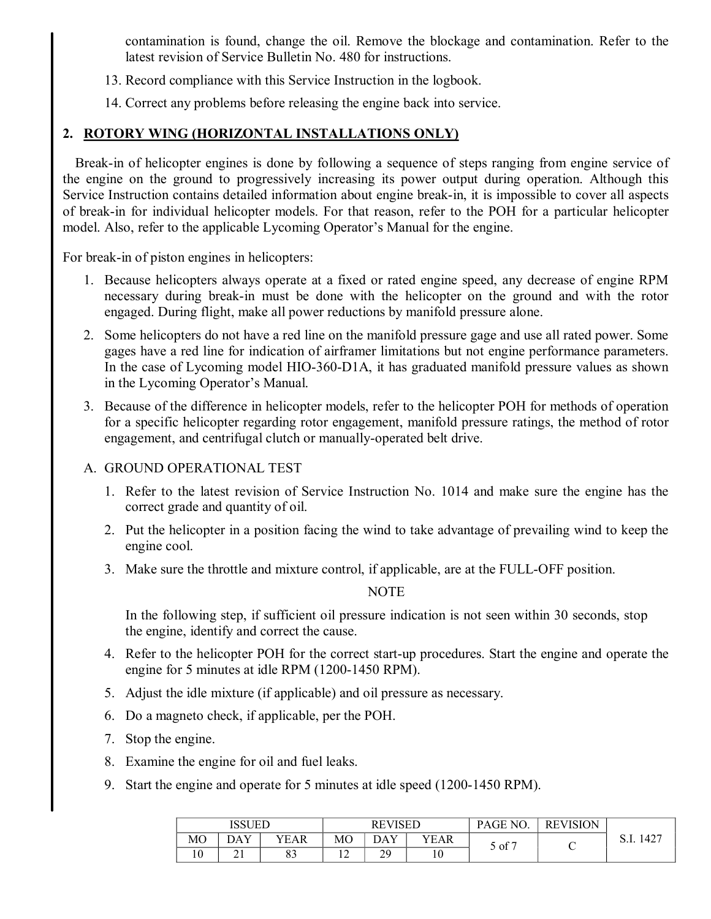contamination is found, change the oil. Remove the blockage and contamination. Refer to the latest revision of Service Bulletin No. 480 for instructions.

- 13. Record compliance with this Service Instruction in the logbook.
- 14. Correct any problems before releasing the engine back into service.

# **2. ROTORY WING (HORIZONTAL INSTALLATIONS ONLY)**

Break-in of helicopter engines is done by following a sequence of steps ranging from engine service of the engine on the ground to progressively increasing its power output during operation. Although this Service Instruction contains detailed information about engine break-in, it is impossible to cover all aspects of break-in for individual helicopter models. For that reason, refer to the POH for a particular helicopter model. Also, refer to the applicable Lycoming Operator's Manual for the engine.

For break-in of piston engines in helicopters:

- 1. Because helicopters always operate at a fixed or rated engine speed, any decrease of engine RPM necessary during break-in must be done with the helicopter on the ground and with the rotor engaged. During flight, make all power reductions by manifold pressure alone.
- 2. Some helicopters do not have a red line on the manifold pressure gage and use all rated power. Some gages have a red line for indication of airframer limitations but not engine performance parameters. In the case of Lycoming model  $HIO-360-D1A$ , it has graduated manifold pressure values as shown in the Lycoming Operator's Manual.
- 3. Because of the difference in helicopter models, refer to the helicopter POH for methods of operation for a specific helicopter regarding rotor engagement, manifold pressure ratings, the method of rotor engagement, and centrifugal clutch or manually-operated belt drive.
- A. GROUND OPERATIONAL TEST
	- 1. Refer to the latest revision of Service Instruction No. 1014 and make sure the engine has the correct grade and quantity of oil.
	- 2. Put the helicopter in a position facing the wind to take advantage of prevailing wind to keep the engine cool.
	- 3. Make sure the throttle and mixture control, if applicable, are at the FULL-OFF position.

# NOTE

In the following step, if sufficient oil pressure indication is not seen within 30 seconds, stop the engine, identify and correct the cause.

- 4. Refer to the helicopter POH for the correct start-up procedures. Start the engine and operate the engine for 5 minutes at idle RPM (1200-1450 RPM).
- 5. Adjust the idle mixture (if applicable) and oil pressure as necessary.
- 6. Do a magneto check, if applicable, per the POH.
- 7. Stop the engine.
- 8. Examine the engine for oil and fuel leaks.
- 9. Start the engine and operate for 5 minutes at idle speed (1200-1450 RPM).

|    | <b>ISSUED</b> |          |    | <b>REVISED</b> |      | PAGE NO. | <b>REVISION</b> |              |
|----|---------------|----------|----|----------------|------|----------|-----------------|--------------|
| MО | DAY           | YEAR     | MО |                | YEAR | 5 of 7   |                 | 1427<br>O.I. |
| 10 | $\sim$ 1      | റി<br>89 | ∼  | 29             | 10   |          | ◡               |              |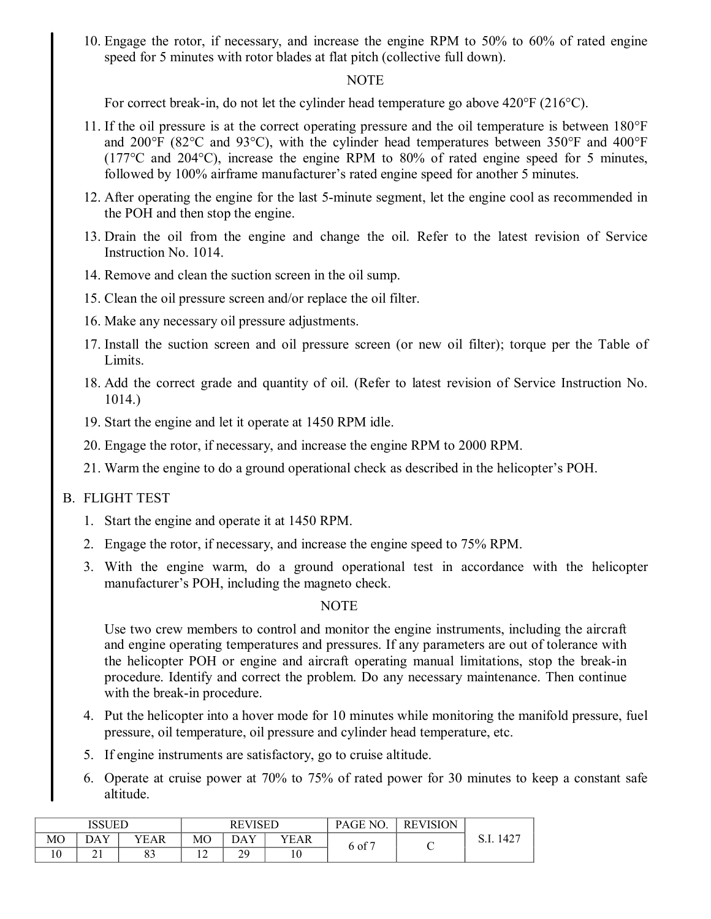10. Engage the rotor, if necessary, and increase the engine RPM to 50% to 60% of rated engine speed for 5 minutes with rotor blades at flat pitch (collective full down).

#### NOTE

For correct break-in, do not let the cylinder head temperature go above  $420^{\circ}F(216^{\circ}C)$ .

- 11. If the oil pressure is at the correct operating pressure and the oil temperature is between 180°F and 200°F (82°C and 93°C), with the cylinder head temperatures between 350°F and 400°F  $(177^{\circ}$ C and  $204^{\circ}$ C), increase the engine RPM to 80% of rated engine speed for 5 minutes, followed by 100% airframe manufacturer's rated engine speed for another 5 minutes.
- 12. After operating the engine for the last 5-minute segment, let the engine cool as recommended in the POH and then stop the engine.
- 13. Drain the oil from the engine and change the oil. Refer to the latest revision of Service Instruction No. 1014.
- 14. Remove and clean the suction screen in the oil sump.
- 15. Clean the oil pressure screen and/or replace the oil filter.
- 16. Make any necessary oil pressure adjustments.
- 17. Install the suction screen and oil pressure screen (or new oil filter); torque per the Table of Limits.
- 18. Add the correct grade and quantity of oil. (Refer to latest revision of Service Instruction No. 1014.)
- 19. Start the engine and let it operate at 1450 RPM idle.
- 20. Engage the rotor, if necessary, and increase the engine RPM to 2000 RPM.
- 21. Warm the engine to do a ground operational check as described in the helicopter's POH.

#### B. FLIGHT TEST

- 1. Start the engine and operate it at 1450 RPM.
- 2. Engage the rotor, if necessary, and increase the engine speed to 75% RPM.
- 3. With the engine warm, do a ground operational test in accordance with the helicopter manufacturer's POH, including the magneto check.

#### **NOTE**

Use two crew members to control and monitor the engine instruments, including the aircraft and engine operating temperatures and pressures. If any parameters are out of tolerance with the helicopter POH or engine and aircraft operating manual limitations, stop the break-in procedure. Identify and correct the problem. Do any necessary maintenance. Then continue with the break-in procedure.

- 4. Put the helicopter into a hover mode for 10 minutes while monitoring the manifold pressure, fuel pressure, oil temperature, oil pressure and cylinder head temperature, etc.
- 5. If engine instruments are satisfactory, go to cruise altitude.
- 6. Operate at cruise power at 70% to 75% of rated power for 30 minutes to keep a constant safe altitude.

| <b>ISSUED</b> |            |          |    | <b>REVISED</b> |      | PAGE NO.   | <b>REVISION</b> |              |
|---------------|------------|----------|----|----------------|------|------------|-----------------|--------------|
| МO            | DAY        | YEAR     | МO | DAY            | YEAR | $6$ of $7$ |                 | 427ء<br>0.1. |
| ιv            | <u> 41</u> | റി<br>83 | ∸  | 20<br>ر ب      | 10   |            |                 |              |